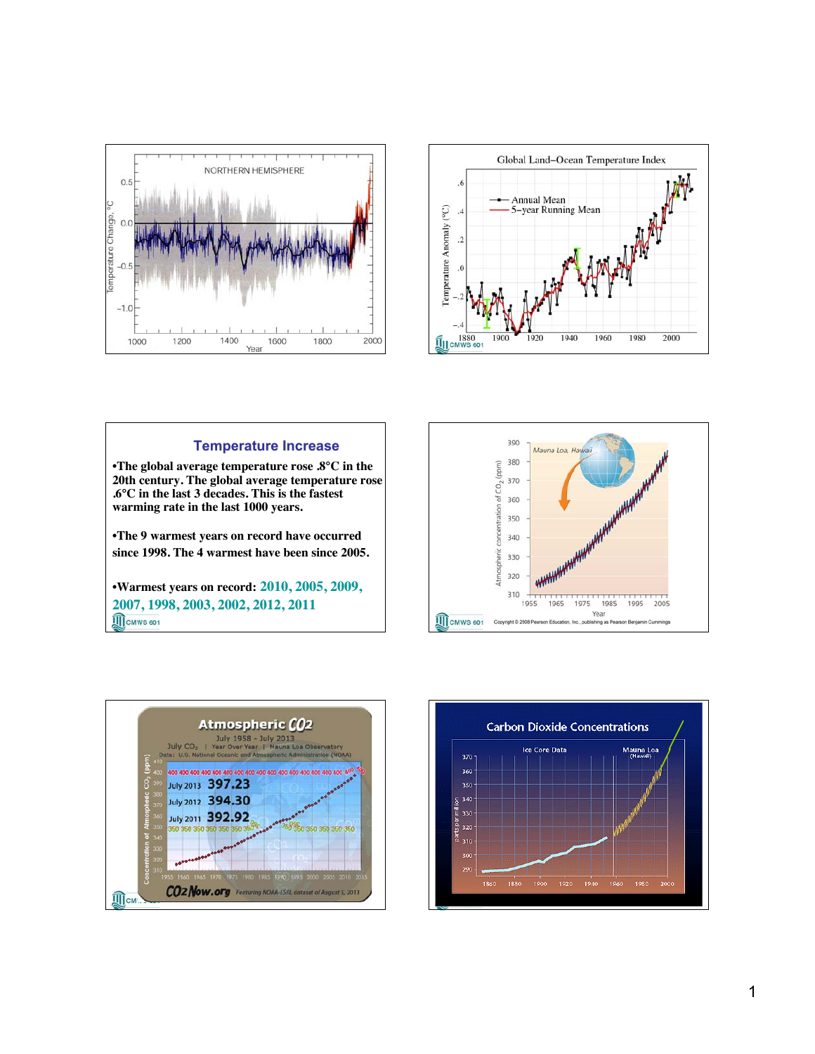



## **Temperature Increase** •**The global average temperature rose .8°C in the 20th century. The global average temperature rose .6°C in the last 3 decades. This is the fastest warming rate in the last 1000 years. warming rate in the last 1000 years.** •**The 9 warmest years on record have occurred since 1998. The 4 warmest have been since 2005. since 1998. The 4 warmest have been since 2005.**

•**Warmest years on record: 2010, 2005, 2010, 2005,2009, 2007, 1998, 2003, 2002, 2012, 2011**<br> **M**CMWS 801





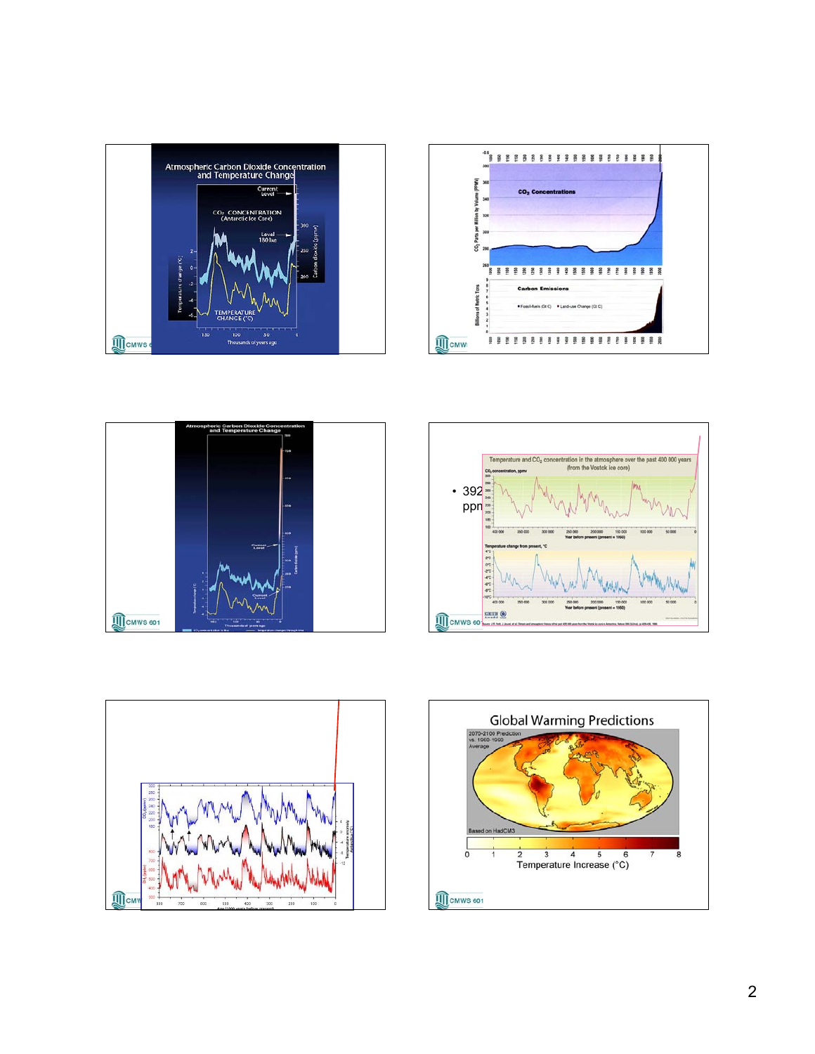









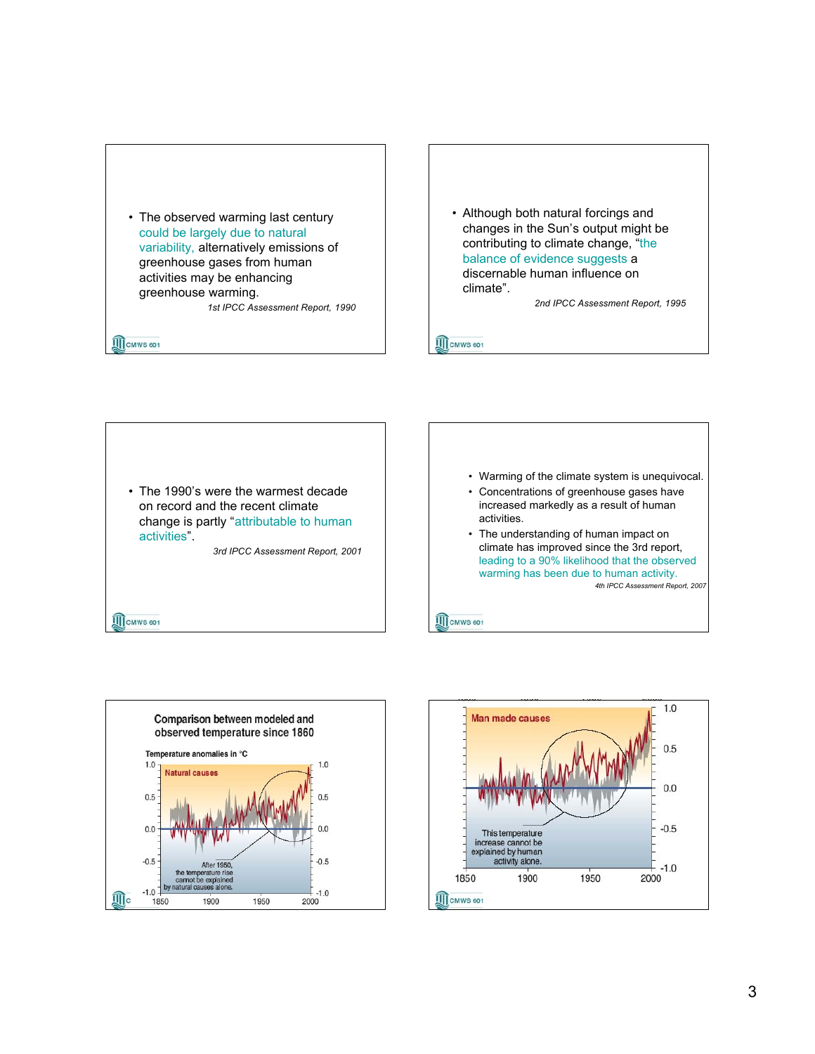

• Although both natural forcings and changes in the Sun's output might be contributing to climate change, "the balance of evidence suggests a discernable human influence on climate".

*2nd IPCC Assessment Report, 1995*

**III** CMWS 601

• The 1990's were the warmest decade on record and the recent climate change is partly "attributable to human activities".

*3rd IPCC Assessment Report, 2001*

**III** CMWS 601

**III** CMWS 601



**III** CMWS 601